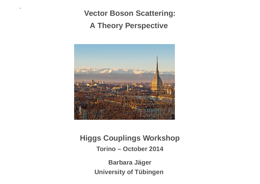**Vector Boson Scattering:**

**A Theory Perspective**



**Higgs Couplings WorkshopTorino – October 2014Barbara Jager ¨**

**University of Tübingen**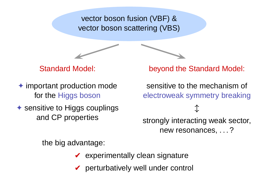vector boson fusion (VBF) &vector boson scattering (VBS)

 $\overline{\phantom{0}}$ 



- ✦ important production mode for the Higgs boson
- **✦ sensitive to Higgs couplings** and CP properties

beyond the Standard Model:

sensitive to the mechanism of electroweak symmetry breaking

 $\updownarrow$ strongly interacting weak sector, new resonances, . . . ?

the big advantage:

 $\blacktriangleright$  experimentally clean signature

 $\blacktriangleright$  perturbatively well under control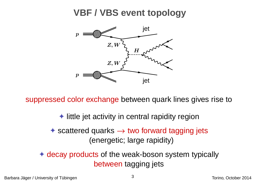## **VBF / VBS event topology**



suppressed color exchange between quark lines gives rise to

✦ little jet activity in central rapidity region

✦ scattered quarks → two forward tagging jets (energetic; large rapidity)

✦ decay products of the weak-boson system typically between tagging jets

Barbara Jager / University of T¨ubingen ¨ Torino, October <sup>2014</sup>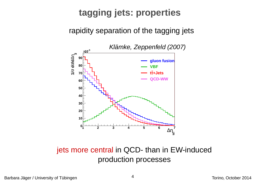# **tagging jets: properties**

rapidity separation of the tagging jets



jets more central in QCD- than in EW-inducedproduction processes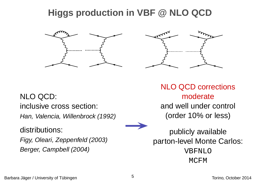# **Higgs production in VBF @ NLO QCD**





### NLO QCD: inclusive cross section: Han, Valencia, Willenbrock (1992)

distributions:

Figy, Oleari, Zeppenfeld (2003)Berger, Campbell (2004)

NLO QCD correctionsmoderate and well under control (order 10% or less)

publicly available parton-level Monte Carlos: VBFNLOMCFM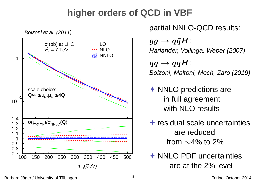# **higher orders of QCD in VBF**



partial NNLO-QCD results:  $gg\to q\bar{q}H$  : Harlander, Vollinga, Weber (2007) $qq\rightarrow qqH$ :<br>Bolzoni Maltoi Bolzoni, Maltoni, Moch, Zaro (2019)

**E** NNLO predictions are in full agreement with NLO results

✦ residual scale uncertainties are reducedfrom<sup>∼</sup>4% to 2%

**Example 1999 MNLO PDF uncertainties** are at the 2% level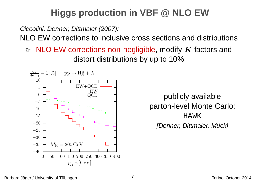# **Higgs production in VBF @ NLO EW**

Ciccolini, Denner, Dittmaier (2007):

NLO EW corrections to inclusive cross sections and distributions

**EW** corrections non-negligible, modify *K* factors and<br>distort distributions by up to 10% distort distributions by up to 10%



publicly available parton-level Monte Carlo: HAWK[Denner, Dittmaier, Mück]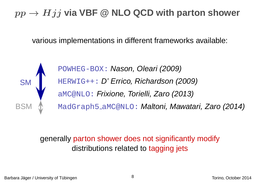# $pp \rightarrow Hjj$  via VBF @ NLO QCD with parton shower

various implementations in different frameworks available:

SMBSM

POWHEG-BOX**: Nason, Oleari (2009)** HERWIG++: D' Errico, Richardson (2009) aMC@NLO: Frixione, Torielli, Zaro (2013) MadGraph5\_aMC@NLO**:** *Maltoni, Mawatari, Zaro (2014)* 

## generally parton shower does not significantly modify distributions related to tagging jets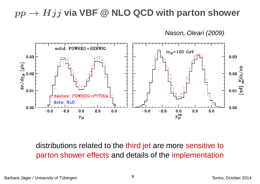# $pp \rightarrow Hjj$  via VBF @ NLO QCD with parton shower

Nason, Oleari (2009)



distributions related to the third jet are more sensitive to parton shower effects and details of the implementation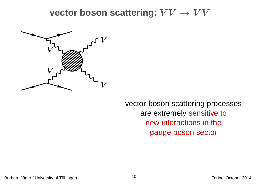$\textbf{vector boson scattering: } VV \rightarrow VV$ 



vector-boson scattering processesare extremely sensitive tonew interactions in thegauge boson sector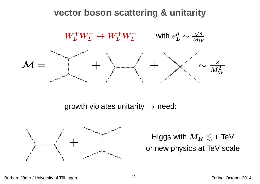### **vector boson scattering & unitarity**



growth violates unitarity  $\rightarrow$  need:



 $M_H\lesssim1$  TeV or new physics at TeV scale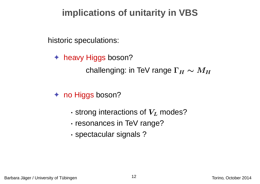## **implications of unitarity in VBS**

historic speculations:

✦ heavy Higgs boson? challenging: in TeV range  $\Gamma_H\sim M_H$ 

✦ no Higgs boson?

- · $\cdot$  strong interactions of  $V_L$  modes?
- ·resonances in TeV range?
- ·spectacular signals ?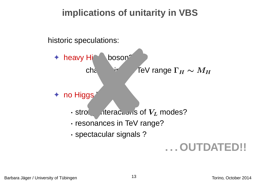## **implications of unitarity in VBS**

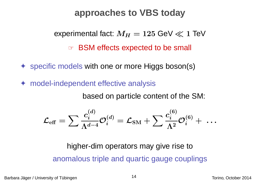### **approaches to VBS today**

experimental fact:  $M_H = 125~{\rm GeV} \ll 1$  TeV

☞ BSM effects expected to be small

✦ specific models with one or more Higgs boson(s)

✦model-independent effective analysis

based on particle content of the SM:

$$
\mathcal{L}_{\text{eff}} = \sum \frac{c_i^{(d)}}{\Lambda^{d-4}} \mathcal{O}_i^{(d)} = \mathcal{L}_{\text{SM}} + \sum \frac{c_i^{(6)}}{\Lambda^2} \mathcal{O}_i^{(6)} + ~ \dots
$$

higher-dim operators may give rise toanomalous triple and quartic gauge couplings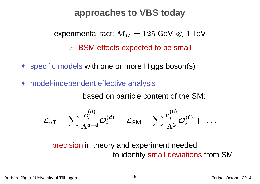### **approaches to VBS today**

experimental fact:  $M_H = 125~{\rm GeV} \ll 1$  TeV

☞ BSM effects expected to be small

✦ specific models with one or more Higgs boson(s)

✦model-independent effective analysis

based on particle content of the SM:

$$
\mathcal{L}_{\text{eff}} = \sum \frac{c_i^{(d)}}{\Lambda^{d-4}} \mathcal{O}_i^{(d)} = \mathcal{L}_{\text{SM}} + \sum \frac{c_i^{(6)}}{\Lambda^2} \mathcal{O}_i^{(6)} + ~ \dots
$$

precision in theory and experiment needed to identify small deviations from SM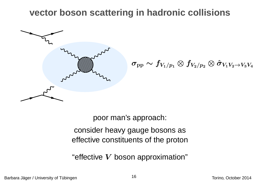### **vector boson scattering in hadronic collisions**



 $\sigma_{\rm pp} \sim f_{V_1/p_1} \otimes f_{V_2/p_2} \otimes \hat{\sigma}_{V_1 V_2 \rightarrow V_3 V_4}$ 

poor man's approach: consider heavy gauge bosons aseffective constituents of the proton

"effective  $\boldsymbol{V}$  boson approximation"

Barbara Jager / University of T¨ubingen ¨ Torino, October <sup>2014</sup> <sup>16</sup>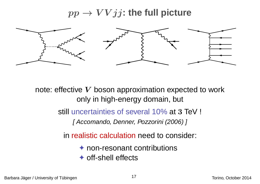# $pp \rightarrow V V j j$ : the full picture



note: effective  $\boldsymbol{V}$  boson approximation expected to work only in high-energy domain, but

still uncertainties of several 10% at 3 TeV !

[ Accomando, Denner, Pozzorini (2006) ]

in realistic calculation need to consider:

**← non-resonant contributions** ✦ off-shell effects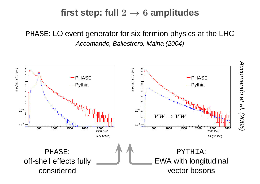# $\textbf{first step: full } 2 \rightarrow 6 \textbf{ amplitudes}$

PHASE: LO event generator for six fermion physics at the LHCAccomando, Ballestrero, Maina (2004)

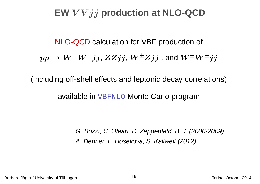# **EW** <sup>V</sup> <sup>V</sup> jj **production at NLO-QCD**

NLO-QCD calculation for VBF production of  $pp \to$  $\rightarrow W^+W^-jj$ ,  $ZZjj$ ,  $W^\pm Zjj$  , and  $W^\pm W^\pm jj$ 

(including off-shell effects and leptonic decay correlations)

available in VBFNLO Monte Carlo program

G. Bozzi, C. Oleari, D. Zeppenfeld, B. J. (2006-2009)A. Denner, L. Hosekova, S. Kallweit (2012)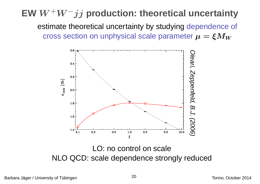# **EW** <sup>W</sup>+W−jj **production: theoretical uncertainty**

estimate theoretical uncertainty by studying dependence of cross section on unphysical scale parameter  $\mu = \xi M_W$ 



LO: no control on scaleNLO QCD: scale dependence strongly reduced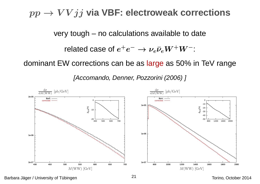# $pp \rightarrow V V jj$  via VBF: electroweak corrections

very tough – no calculations available to date

related case of  $e^+e^-\rightarrow \nu_e\bar{\nu}_eW^+W^-$ :

dominant EW corrections can be as <mark>larg</mark>e as 50% in TeV range

[Accomando, Denner, Pozzorini (2006) ]



Barbara Jager / University of T¨ubingen ¨ Torino, October <sup>2014</sup> <sup>21</sup>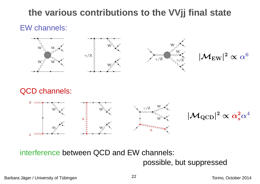## **the various contributions to the VVjj final state**

#### EW channels:







 $|{\cal M}_{\rm EW}|^2$  $\text{-}\propto\alpha$ 6

#### QCD channels:



interference between QCD and EW channels:

possible, but suppressed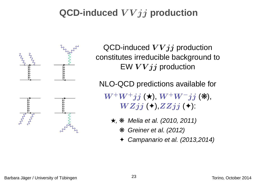# **QCD-induced** <sup>V</sup> <sup>V</sup> jj **production**



QCD-induced  $VVjj$  production constitutes irreducible background toEW  $\boldsymbol{VV} \boldsymbol{j} \boldsymbol{j}$  production

NLO-QCD predictions available for

 $\boldsymbol{W^+ W^+ jj}~(\boldsymbol{\star})$ ,  $\boldsymbol{W^+ W^- jj}~(\boldsymbol{\divideontimes}),$  $W Zjj$  ( $\diamond$ ), $ZZjj$  ( $\diamond$ ):

- ★, ❋ Melia et al. (2010, 2011)
	- ❋ Greiner et al. (2012)
	- ✦Campanario et al. (2013,2014)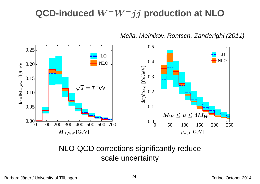# **QCD-induced** <sup>W</sup>+W−jj **production at NLO**



Melia, Melnikov, Rontsch, Zanderighi (2011)

#### NLO-QCD corrections significantly reducescale uncertainty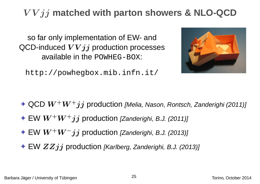# <sup>V</sup> <sup>V</sup> jj **matched with parton showers & NLO-QCD**

so far only implementation of EW- andQCD-induced  $VVjj$  production processes available in the POWHEG-BOX:

http://powhegbox.mib.infn.it/



- $\blacklozenge$  QCD  $W^+W^+jj$  production [Melia, Nason, Rontsch, Zanderighi (2011)]
- $\blacklozenge \text{EW} \, W^+W^+jj$  production [Zanderighi, B.J. (2011)]
- ✦ EW <sup>W</sup>+W−jj production [Zanderighi, B.J. (2013)]
- $\blacklozenge$  EW  $ZZjj$  production [Karlberg, Zanderighi, B.J. (2013)]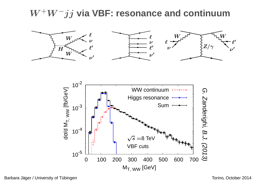# W+W−jj **via VBF: resonance and continuum**







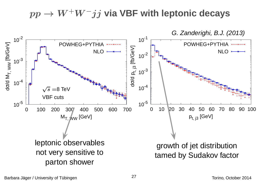$pp \rightarrow$  $\rightarrow$   $W^+W^-jj$  via VBF with leptonic decays

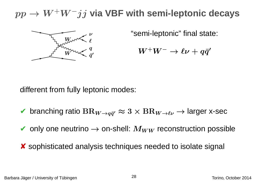#### $pp \to$ <sup>W</sup>+W−jj **via VBF with semi-leptonic decays**



"semi-leptonic" final state:

```
W^+W^-\rightarrow\ell\nu+q\bar{q}^\prime
```
different from fully leptonic modes:

- $\blacktriangleright$  branching ratio  $\text{BR}_{W\to q\bar{q}'}\approx3\times \text{BR}_{W\to\ell\nu}\to$  larger x-sec
- $\blacktriangleright$  only one neutrino  $\rightarrow$  on-shell:  $M_{WW}$  reconstruction possible
- ✘ sophisticated analysis techniques needed to isolate signal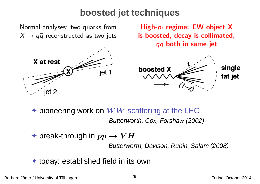### **boosted jet techniques**

Normal analyses: two quarks from  $X \rightarrow q\bar{q}$  reconstructed as two jets



High- $p_t$  regime: EW object X is boosted, decay is collimated,  $q\bar{q}$  both in same jet



♦ pioneering work on  $WW$  scattering at the LHC<br>**Butterworth Cox Forshaw (200** Butterworth, Cox, Forshaw (2002)

 $\;\;\blacklozenge$  break-through in  $pp \to VH$ Butterworth, Davison, Rubin, Salam (2008)

✦ today: established field in its own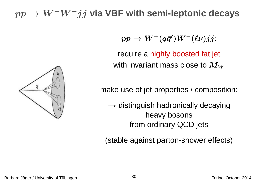#### $pp \to$ <sup>W</sup>+W−jj **via VBF with semi-leptonic decays**

 $pp \rightarrow W^+(q\bar{q}')W^-(\ell\nu) jj$ :

require <sup>a</sup> highly boosted fat jet with invariant mass close to  $M_W$ 

make use of jet properties / composition:

 $\rightarrow$  distinguish hadronically decaying<br>heavy bosons heavy bosonsfrom ordinary QCD jets

(stable against parton-shower effects)

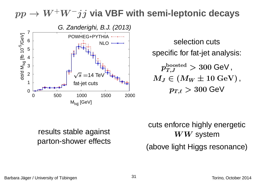#### $pp \to$ <sup>W</sup>+W−jj **via VBF with semi-leptonic decays**



 selection cuts specific for fat-jet analysis:  $p_{T,J}^{\rm boosted} > 300$  GeV ,  $M_J \in \left( M_W \pm 10 \text{ GeV} \right),$  $p_{T,\ell} > 300$  GeV

#### results stable against parton-shower effects

cuts enforce highly energetic $WW$  system

(above light Higgs resonance)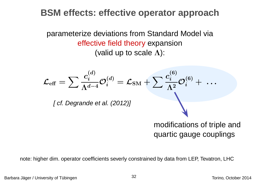### **BSM effects: effective operator approach**

parameterize deviations from Standard Model viaeffective field theory expansion(valid up to scale  $\Lambda$ ):

$$
\mathcal{L}_{\text{eff}} = \sum \frac{c_i^{(d)}}{\Lambda^{d-4}} \mathcal{O}_i^{(d)} = \mathcal{L}_{\text{SM}} + \sum \frac{c_i^{(6)}}{\Lambda^2} \mathcal{O}_i^{(6)} + \dots
$$
  
[*cf. Degrande et al.* (2012)]  
modifications of triple and  
quartic gauge couplings

note: higher dim. operator coefficients severly constrained by data from LEP, Tevatron, LHC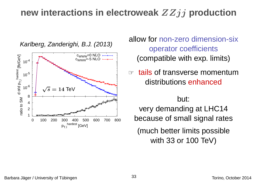# **new interactions in electroweak** ZZjj **production**



Karlberg, Zanderighi, B.J. (2013)

#### allow for non-zero dimension-sixoperator coefficients(compatible with exp. limits)

☞ tails of transverse momentumdistributions <mark>enhanced</mark>

but:very demanding at LHC14 because of small signal rates(much better limits possiblewith 33 or 100 TeV)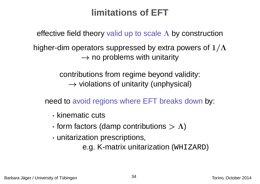# **limitations of EFT**

effective field theory valid up to scale  $\boldsymbol\Lambda$  by construction

higher-dim operators suppressed by extra powers of  $1/\Lambda$  $\rightarrow$  no problems with unitarity

> contributions from regime beyond validity:  $\rightarrow$  violations of unitarity (unphysical)

need to avoid regions where EFT breaks down by:

- · $\cdot$  kinematic cuts
- · $\cdot$  form factors (damp contributions  $> \Lambda$ )
- ·unitarization prescriptions,

e.g. K-matrix unitarization (WHIZARD)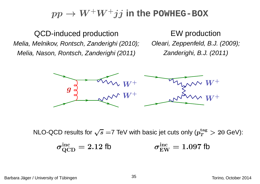#### $pp \to$  $\rightarrow$   $W^+W^+jj$  in the POWHEG-BOX

QCD-induced production Melia, Melnikov, Rontsch, Zanderighi (2010); Melia, Nason, Rontsch, Zanderighi (2011)

EW productionOleari, Zeppenfeld, B.J. (2009); Zanderighi, B.J. (2011)



NLO-QCD results for  $\sqrt{s} =$ 7 TeV with basic jet cuts only ( $p_T^{\rm tag} > 20$  GeV):

$$
\sigma_{\rm QCD}^{\rm inc} = 2.12 \text{ fb} \qquad \qquad \sigma_{\rm EW}^{\rm inc} = 1.097 \text{ fb}
$$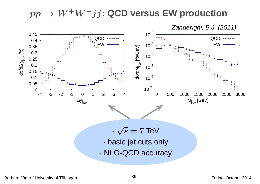#### $pp \to$  $\rightarrow$   $W^{+}W^{+}jj$ : QCD versus EW production<br>Tenderiable B.J. (20

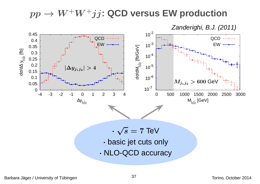#### $pp \to$  $\rightarrow$   $W^{+}W^{+}jj$ : QCD versus EW production<br>Tenderiable B. L. C.

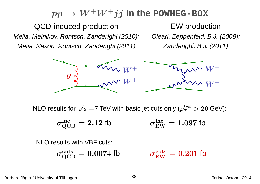#### $pp \to$  $\rightarrow$   $W^{+}W^{+}jj$  in the POWHEG-BOX<br>

QCD-induced production Melia, Melnikov, Rontsch, Zanderighi (2010); Melia, Nason, Rontsch, Zanderighi (2011)

EW productionOleari, Zeppenfeld, B.J. (2009); Zanderighi, B.J. (2011)



NLO results for  $\sqrt{s} =$ 7 TeV with basic jet cuts only ( $p_T^{\rm tag} > 20$  GeV):

$$
\sigma_{\rm QCD}^{\rm inc} = 2.12 \text{ fb} \qquad \qquad \sigma_{\rm EW}^{\rm inc} = 1.097 \text{ fb}
$$

NLO results with VBF cuts:

$$
\sigma_{\text{QCD}}^{\text{cuts}} = 0.0074 \text{ fb} \qquad \qquad \sigma_{\text{EW}}^{\text{cuts}} = 0.201 \text{ fb}
$$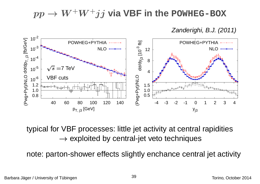#### $pp \to$  $\rightarrow$   $W^{+}W^{+}jj$  via VBF in the POWHEG-BOX

Zanderighi, B.J. (2011)



typical for VBF processes: little jet activity at central rapidities $\rightarrow$  exploited by central-jet veto techniques

note: parton-shower effects slightly enchance central jet activity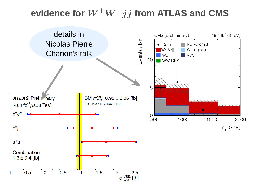# $\boldsymbol{c}$  and  $\boldsymbol{c}$  and  $\boldsymbol{c}$  and  $\boldsymbol{c}$  and  $\boldsymbol{c}$  and  $\boldsymbol{c}$  and  $\boldsymbol{c}$  and  $\boldsymbol{c}$  and  $\boldsymbol{c}$  and  $\boldsymbol{c}$  and  $\boldsymbol{c}$  and  $\boldsymbol{c}$  and  $\boldsymbol{c}$  and  $\boldsymbol{c}$  and  $\boldsymbol{c}$  and  $\boldsymbol{c}$  and  $\boldsymbol{c}$  and

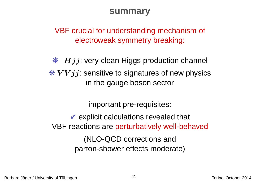#### **summary**

VBF crucial for understanding mechanism of electroweak symmetry breaking:

 $\begin{array}{cl} \textbf{\textit{\#}} & Hjj: \end{array}$  very clean Higgs production channel  $\frac{1}{2}$  VV j j: sensitive to signatures of new physics in the gauge boson sector

important pre-requisites:

✔ explicit calculations revealed that </a> VBF reactions are perturbatively well-behaved

> (NLO-QCD corrections andparton-shower effects moderate)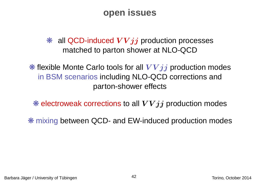### **open issues**

 $*$  all QCD-induced  $VVjj$  production processes matched to parton shower at NLO-QCD

 $*$  flexible Monte Carlo tools for all  $VVjj$  production modes in BSM scenarios including NLO-QCD corrections andparton-shower effects

 $\textcolor{red}{\ast}$  electroweak corrections to all  $VVjj$  production modes

❋ mixing between QCD- and EW-induced production modes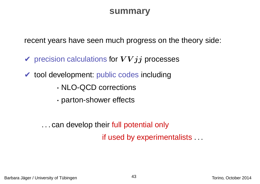#### **summary**

recent years have seen much progress on the theory side:

- $\blacktriangledown$  precision calculations for  $VVjj$  processes
- ✔ tool development: public codes including
	- ·NLO-QCD corrections
	- ·parton-shower effects

. . . can develop their full potential only if used by experimentalists . . .